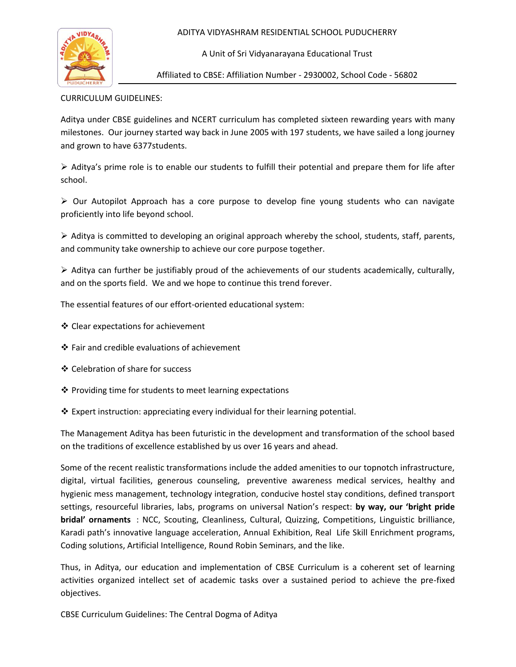ADITYA VIDYASHRAM RESIDENTIAL SCHOOL PUDUCHERRY



A Unit of Sri Vidyanarayana Educational Trust

Affiliated to CBSE: Affiliation Number - 2930002, School Code - 56802

CURRICULUM GUIDELINES:

Aditya under CBSE guidelines and NCERT curriculum has completed sixteen rewarding years with many milestones. Our journey started way back in June 2005 with 197 students, we have sailed a long journey and grown to have 6377students.

 $\triangleright$  Aditya's prime role is to enable our students to fulfill their potential and prepare them for life after school.

 $\triangleright$  Our Autopilot Approach has a core purpose to develop fine young students who can navigate proficiently into life beyond school.

 $\triangleright$  Aditya is committed to developing an original approach whereby the school, students, staff, parents, and community take ownership to achieve our core purpose together.

 $\triangleright$  Aditya can further be justifiably proud of the achievements of our students academically, culturally, and on the sports field. We and we hope to continue this trend forever.

The essential features of our effort-oriented educational system:

- Clear expectations for achievement
- Fair and credible evaluations of achievement
- Celebration of share for success
- $\cdot$  Providing time for students to meet learning expectations
- Expert instruction: appreciating every individual for their learning potential.

The Management Aditya has been futuristic in the development and transformation of the school based on the traditions of excellence established by us over 16 years and ahead.

Some of the recent realistic transformations include the added amenities to our topnotch infrastructure, digital, virtual facilities, generous counseling, preventive awareness medical services, healthy and hygienic mess management, technology integration, conducive hostel stay conditions, defined transport settings, resourceful libraries, labs, programs on universal Nation's respect: **by way, our 'bright pride bridal' ornaments** : NCC, Scouting, Cleanliness, Cultural, Quizzing, Competitions, Linguistic brilliance, Karadi path's innovative language acceleration, Annual Exhibition, Real Life Skill Enrichment programs, Coding solutions, Artificial Intelligence, Round Robin Seminars, and the like.

Thus, in Aditya, our education and implementation of CBSE Curriculum is a coherent set of learning activities organized intellect set of academic tasks over a sustained period to achieve the pre-fixed objectives.

CBSE Curriculum Guidelines: The Central Dogma of Aditya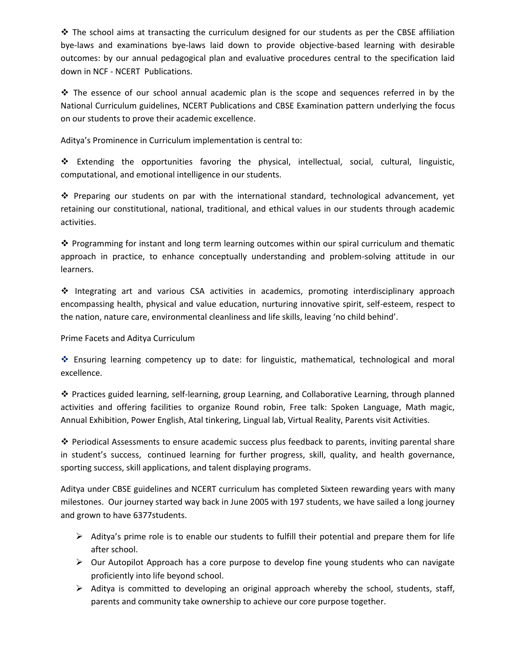$\cdot \cdot$  The school aims at transacting the curriculum designed for our students as per the CBSE affiliation bye-laws and examinations bye-laws laid down to provide objective-based learning with desirable outcomes: by our annual pedagogical plan and evaluative procedures central to the specification laid down in NCF - NCERT Publications.

 $\cdot$  The essence of our school annual academic plan is the scope and sequences referred in by the National Curriculum guidelines, NCERT Publications and CBSE Examination pattern underlying the focus on our students to prove their academic excellence.

Aditya's Prominence in Curriculum implementation is central to:

 Extending the opportunities favoring the physical, intellectual, social, cultural, linguistic, computational, and emotional intelligence in our students.

 $\cdot \cdot$  Preparing our students on par with the international standard, technological advancement, yet retaining our constitutional, national, traditional, and ethical values in our students through academic activities.

❖ Programming for instant and long term learning outcomes within our spiral curriculum and thematic approach in practice, to enhance conceptually understanding and problem-solving attitude in our learners.

 Integrating art and various CSA activities in academics, promoting interdisciplinary approach encompassing health, physical and value education, nurturing innovative spirit, self-esteem, respect to the nation, nature care, environmental cleanliness and life skills, leaving 'no child behind'.

Prime Facets and Aditya Curriculum

 Ensuring learning competency up to date: for linguistic, mathematical, technological and moral excellence.

 Practices guided learning, self-learning, group Learning, and Collaborative Learning, through planned activities and offering facilities to organize Round robin, Free talk: Spoken Language, Math magic, Annual Exhibition, Power English, Atal tinkering, Lingual lab, Virtual Reality, Parents visit Activities.

❖ Periodical Assessments to ensure academic success plus feedback to parents, inviting parental share in student's success, continued learning for further progress, skill, quality, and health governance, sporting success, skill applications, and talent displaying programs.

Aditya under CBSE guidelines and NCERT curriculum has completed Sixteen rewarding years with many milestones. Our journey started way back in June 2005 with 197 students, we have sailed a long journey and grown to have 6377students.

- $\triangleright$  Aditya's prime role is to enable our students to fulfill their potential and prepare them for life after school.
- $\triangleright$  Our Autopilot Approach has a core purpose to develop fine young students who can navigate proficiently into life beyond school.
- $\triangleright$  Aditya is committed to developing an original approach whereby the school, students, staff, parents and community take ownership to achieve our core purpose together.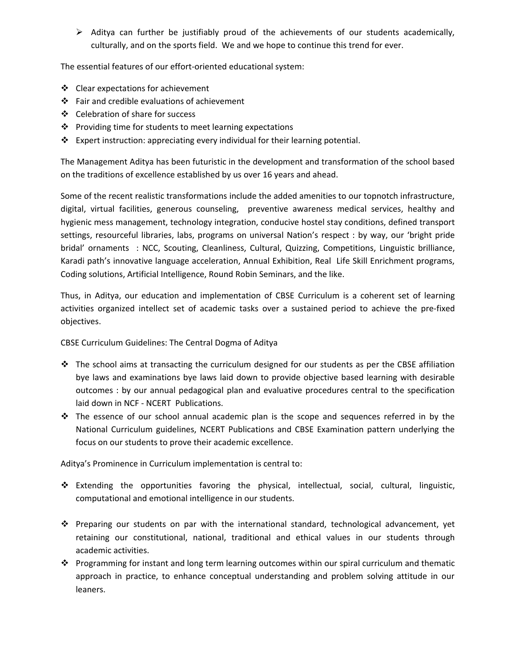$\triangleright$  Aditya can further be justifiably proud of the achievements of our students academically, culturally, and on the sports field. We and we hope to continue this trend for ever.

The essential features of our effort-oriented educational system:

- Clear expectations for achievement
- Fair and credible evaluations of achievement
- Celebration of share for success
- ❖ Providing time for students to meet learning expectations
- Expert instruction: appreciating every individual for their learning potential.

The Management Aditya has been futuristic in the development and transformation of the school based on the traditions of excellence established by us over 16 years and ahead.

Some of the recent realistic transformations include the added amenities to our topnotch infrastructure, digital, virtual facilities, generous counseling, preventive awareness medical services, healthy and hygienic mess management, technology integration, conducive hostel stay conditions, defined transport settings, resourceful libraries, labs, programs on universal Nation's respect : by way, our 'bright pride bridal' ornaments : NCC, Scouting, Cleanliness, Cultural, Quizzing, Competitions, Linguistic brilliance, Karadi path's innovative language acceleration, Annual Exhibition, Real Life Skill Enrichment programs, Coding solutions, Artificial Intelligence, Round Robin Seminars, and the like.

Thus, in Aditya, our education and implementation of CBSE Curriculum is a coherent set of learning activities organized intellect set of academic tasks over a sustained period to achieve the pre-fixed objectives.

CBSE Curriculum Guidelines: The Central Dogma of Aditya

- $\cdot \cdot$  The school aims at transacting the curriculum designed for our students as per the CBSE affiliation bye laws and examinations bye laws laid down to provide objective based learning with desirable outcomes : by our annual pedagogical plan and evaluative procedures central to the specification laid down in NCF - NCERT Publications.
- The essence of our school annual academic plan is the scope and sequences referred in by the National Curriculum guidelines, NCERT Publications and CBSE Examination pattern underlying the focus on our students to prove their academic excellence.

Aditya's Prominence in Curriculum implementation is central to:

- Extending the opportunities favoring the physical, intellectual, social, cultural, linguistic, computational and emotional intelligence in our students.
- Preparing our students on par with the international standard, technological advancement, yet retaining our constitutional, national, traditional and ethical values in our students through academic activities.
- Programming for instant and long term learning outcomes within our spiral curriculum and thematic approach in practice, to enhance conceptual understanding and problem solving attitude in our leaners.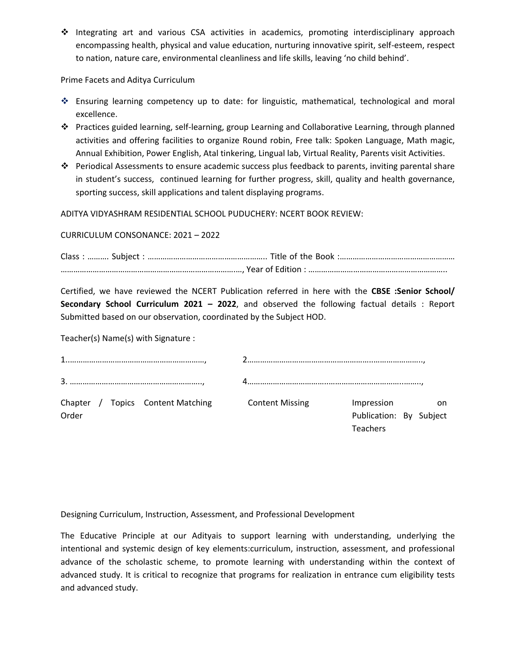Integrating art and various CSA activities in academics, promoting interdisciplinary approach encompassing health, physical and value education, nurturing innovative spirit, self-esteem, respect to nation, nature care, environmental cleanliness and life skills, leaving 'no child behind'.

Prime Facets and Aditya Curriculum

- Ensuring learning competency up to date: for linguistic, mathematical, technological and moral excellence.
- Practices guided learning, self-learning, group Learning and Collaborative Learning, through planned activities and offering facilities to organize Round robin, Free talk: Spoken Language, Math magic, Annual Exhibition, Power English, Atal tinkering, Lingual lab, Virtual Reality, Parents visit Activities.
- Periodical Assessments to ensure academic success plus feedback to parents, inviting parental share in student's success, continued learning for further progress, skill, quality and health governance, sporting success, skill applications and talent displaying programs.

ADITYA VIDYASHRAM RESIDENTIAL SCHOOL PUDUCHERY: NCERT BOOK REVIEW:

CURRICULUM CONSONANCE: 2021 – 2022

Certified, we have reviewed the NCERT Publication referred in here with the **CBSE :Senior School/ Secondary School Curriculum 2021 – 2022**, and observed the following factual details : Report Submitted based on our observation, coordinated by the Subject HOD.

Teacher(s) Name(s) with Signature :

| Order |  | Chapter / Topics Content Matching | <b>Content Missing</b> | Impression<br>Publication: By Subject<br><b>Teachers</b> | on on |
|-------|--|-----------------------------------|------------------------|----------------------------------------------------------|-------|

Designing Curriculum, Instruction, Assessment, and Professional Development

The Educative Principle at our Adityais to support learning with understanding, underlying the intentional and systemic design of key elements:curriculum, instruction, assessment, and professional advance of the scholastic scheme, to promote learning with understanding within the context of advanced study. It is critical to recognize that programs for realization in entrance cum eligibility tests and advanced study.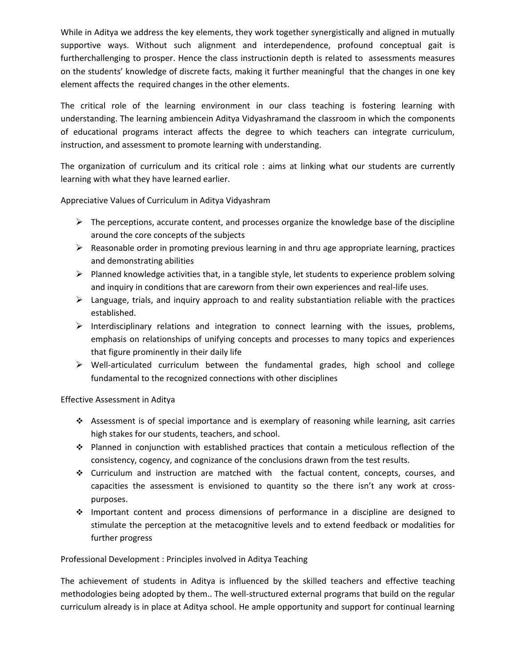While in Aditya we address the key elements, they work together synergistically and aligned in mutually supportive ways. Without such alignment and interdependence, profound conceptual gait is furtherchallenging to prosper. Hence the class instructionin depth is related to assessments measures on the students' knowledge of discrete facts, making it further meaningful that the changes in one key element affects the required changes in the other elements.

The critical role of the learning environment in our class teaching is fostering learning with understanding. The learning ambiencein Aditya Vidyashramand the classroom in which the components of educational programs interact affects the degree to which teachers can integrate curriculum, instruction, and assessment to promote learning with understanding.

The organization of curriculum and its critical role : aims at linking what our students are currently learning with what they have learned earlier.

Appreciative Values of Curriculum in Aditya Vidyashram

- $\triangleright$  The perceptions, accurate content, and processes organize the knowledge base of the discipline around the core concepts of the subjects
- $\triangleright$  Reasonable order in promoting previous learning in and thru age appropriate learning, practices and demonstrating abilities
- $\triangleright$  Planned knowledge activities that, in a tangible style, let students to experience problem solving and inquiry in conditions that are careworn from their own experiences and real-life uses.
- $\triangleright$  Language, trials, and inquiry approach to and reality substantiation reliable with the practices established.
- $\triangleright$  Interdisciplinary relations and integration to connect learning with the issues, problems, emphasis on relationships of unifying concepts and processes to many topics and experiences that figure prominently in their daily life
- $\triangleright$  Well-articulated curriculum between the fundamental grades, high school and college fundamental to the recognized connections with other disciplines

#### Effective Assessment in Aditya

- Assessment is of special importance and is exemplary of reasoning while learning, asit carries high stakes for our students, teachers, and school.
- Planned in conjunction with established practices that contain a meticulous reflection of the consistency, cogency, and cognizance of the conclusions drawn from the test results.
- Curriculum and instruction are matched with the factual content, concepts, courses, and capacities the assessment is envisioned to quantity so the there isn't any work at crosspurposes.
- $\cdot \cdot$  Important content and process dimensions of performance in a discipline are designed to stimulate the perception at the metacognitive levels and to extend feedback or modalities for further progress

#### Professional Development : Principles involved in Aditya Teaching

The achievement of students in Aditya is influenced by the skilled teachers and effective teaching methodologies being adopted by them.. The well-structured external programs that build on the regular curriculum already is in place at Aditya school. He ample opportunity and support for continual learning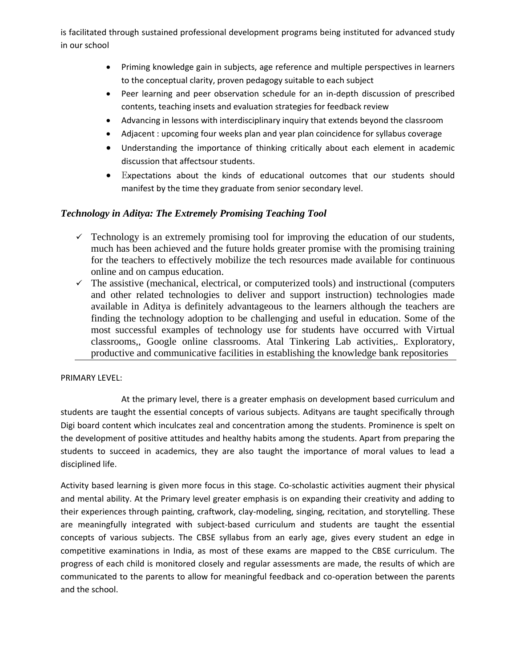is facilitated through sustained professional development programs being instituted for advanced study in our school

- Priming knowledge gain in subjects, age reference and multiple perspectives in learners to the conceptual clarity, proven pedagogy suitable to each subject
- Peer learning and peer observation schedule for an in-depth discussion of prescribed contents, teaching insets and evaluation strategies for feedback review
- Advancing in lessons with interdisciplinary inquiry that extends beyond the classroom
- Adjacent : upcoming four weeks plan and year plan coincidence for syllabus coverage
- Understanding the importance of thinking critically about each element in academic discussion that affectsour students.
- Expectations about the kinds of educational outcomes that our students should manifest by the time they graduate from senior secondary level.

## *Technology in Aditya: The Extremely Promising Teaching Tool*

- $\checkmark$  Technology is an extremely promising tool for improving the education of our students, much has been achieved and the future holds greater promise with the promising training for the teachers to effectively mobilize the tech resources made available for continuous online and on campus education.
- $\checkmark$  The assistive (mechanical, electrical, or computerized tools) and instructional (computers and other related technologies to deliver and support instruction) technologies made available in Aditya is definitely advantageous to the learners although the teachers are finding the technology adoption to be challenging and useful in education. Some of the most successful examples of technology use for students have occurred with Virtual classrooms,, Google online classrooms. Atal Tinkering Lab activities,. Exploratory, productive and communicative facilities in establishing the knowledge bank repositories

## PRIMARY LEVEL:

At the primary level, there is a greater emphasis on development based curriculum and students are taught the essential concepts of various subjects. Adityans are taught specifically through Digi board content which inculcates zeal and concentration among the students. Prominence is spelt on the development of positive attitudes and healthy habits among the students. Apart from preparing the students to succeed in academics, they are also taught the importance of moral values to lead a disciplined life.

Activity based learning is given more focus in this stage. Co-scholastic activities augment their physical and mental ability. At the Primary level greater emphasis is on expanding their creativity and adding to their experiences through painting, craftwork, clay-modeling, singing, recitation, and storytelling. These are meaningfully integrated with subject-based curriculum and students are taught the essential concepts of various subjects. The CBSE syllabus from an early age, gives every student an edge in competitive examinations in India, as most of these exams are mapped to the CBSE curriculum. The progress of each child is monitored closely and regular assessments are made, the results of which are communicated to the parents to allow for meaningful feedback and co-operation between the parents and the school.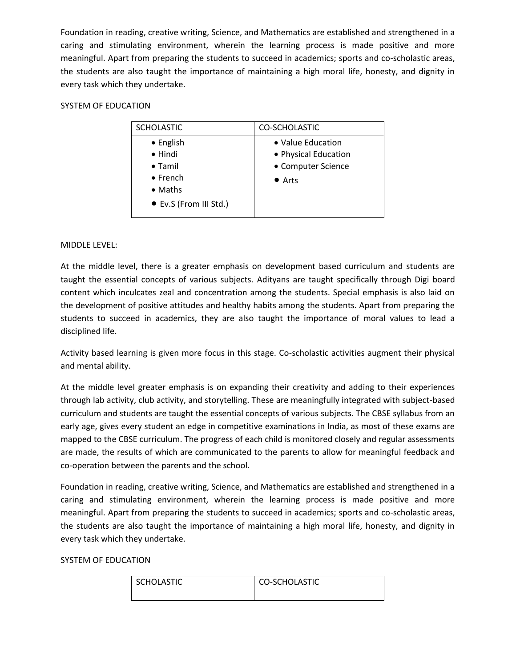Foundation in reading, creative writing, Science, and Mathematics are established and strengthened in a caring and stimulating environment, wherein the learning process is made positive and more meaningful. Apart from preparing the students to succeed in academics; sports and co-scholastic areas, the students are also taught the importance of maintaining a high moral life, honesty, and dignity in every task which they undertake.

## SYSTEM OF EDUCATION

| <b>SCHOLASTIC</b>      | CO-SCHOLASTIC        |
|------------------------|----------------------|
| • English              | • Value Education    |
| $\bullet$ Hindi        | • Physical Education |
| $\bullet$ Tamil        | • Computer Science   |
| $\bullet$ French       | $\bullet$ Arts       |
| $\bullet$ Maths        |                      |
| • Ev.S (From III Std.) |                      |

## MIDDLE LEVEL:

At the middle level, there is a greater emphasis on development based curriculum and students are taught the essential concepts of various subjects. Adityans are taught specifically through Digi board content which inculcates zeal and concentration among the students. Special emphasis is also laid on the development of positive attitudes and healthy habits among the students. Apart from preparing the students to succeed in academics, they are also taught the importance of moral values to lead a disciplined life.

Activity based learning is given more focus in this stage. Co-scholastic activities augment their physical and mental ability.

At the middle level greater emphasis is on expanding their creativity and adding to their experiences through lab activity, club activity, and storytelling. These are meaningfully integrated with subject-based curriculum and students are taught the essential concepts of various subjects. The CBSE syllabus from an early age, gives every student an edge in competitive examinations in India, as most of these exams are mapped to the CBSE curriculum. The progress of each child is monitored closely and regular assessments are made, the results of which are communicated to the parents to allow for meaningful feedback and co-operation between the parents and the school.

Foundation in reading, creative writing, Science, and Mathematics are established and strengthened in a caring and stimulating environment, wherein the learning process is made positive and more meaningful. Apart from preparing the students to succeed in academics; sports and co-scholastic areas, the students are also taught the importance of maintaining a high moral life, honesty, and dignity in every task which they undertake.

#### SYSTEM OF EDUCATION

| <b>SCHOLASTIC</b> | CO-SCHOLASTIC |
|-------------------|---------------|
|                   |               |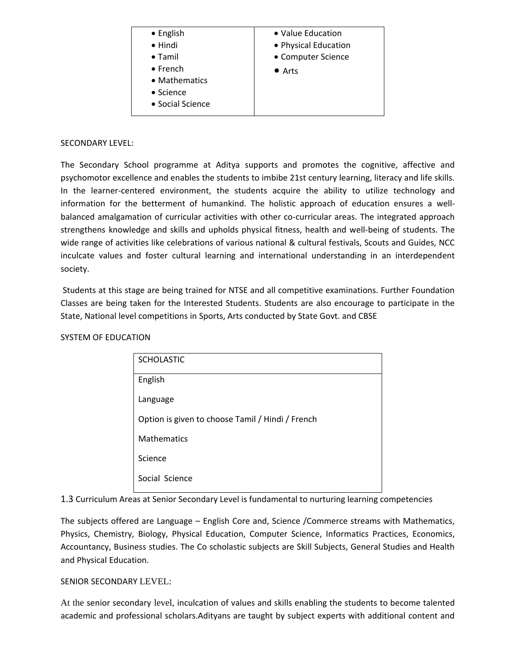| • English         | • Value Education    |
|-------------------|----------------------|
| $\bullet$ Hindi   | • Physical Education |
| $\bullet$ Tamil   | • Computer Science   |
| $\bullet$ French  | $\bullet$ Arts       |
| • Mathematics     |                      |
| $\bullet$ Science |                      |
| • Social Science  |                      |
|                   |                      |

#### SECONDARY LEVEL:

The Secondary School programme at Aditya supports and promotes the cognitive, affective and psychomotor excellence and enables the students to imbibe 21st century learning, literacy and life skills. In the learner-centered environment, the students acquire the ability to utilize technology and information for the betterment of humankind. The holistic approach of education ensures a wellbalanced amalgamation of curricular activities with other co-curricular areas. The integrated approach strengthens knowledge and skills and upholds physical fitness, health and well-being of students. The wide range of activities like celebrations of various national & cultural festivals, Scouts and Guides, NCC inculcate values and foster cultural learning and international understanding in an interdependent society.

Students at this stage are being trained for NTSE and all competitive examinations. Further Foundation Classes are being taken for the Interested Students. Students are also encourage to participate in the State, National level competitions in Sports, Arts conducted by State Govt. and CBSE

#### SYSTEM OF EDUCATION

| <b>SCHOLASTIC</b>                                |
|--------------------------------------------------|
| English                                          |
| Language                                         |
| Option is given to choose Tamil / Hindi / French |
| <b>Mathematics</b>                               |
| Science                                          |
| Social Science                                   |

1.3 Curriculum Areas at Senior Secondary Level is fundamental to nurturing learning competencies

The subjects offered are Language – English Core and, Science /Commerce streams with Mathematics, Physics, Chemistry, Biology, Physical Education, Computer Science, Informatics Practices, Economics, Accountancy, Business studies. The Co scholastic subjects are Skill Subjects, General Studies and Health and Physical Education.

#### SENIOR SECONDARY LEVEL:

At the senior secondary level, inculcation of values and skills enabling the students to become talented academic and professional scholars.Adityans are taught by subject experts with additional content and